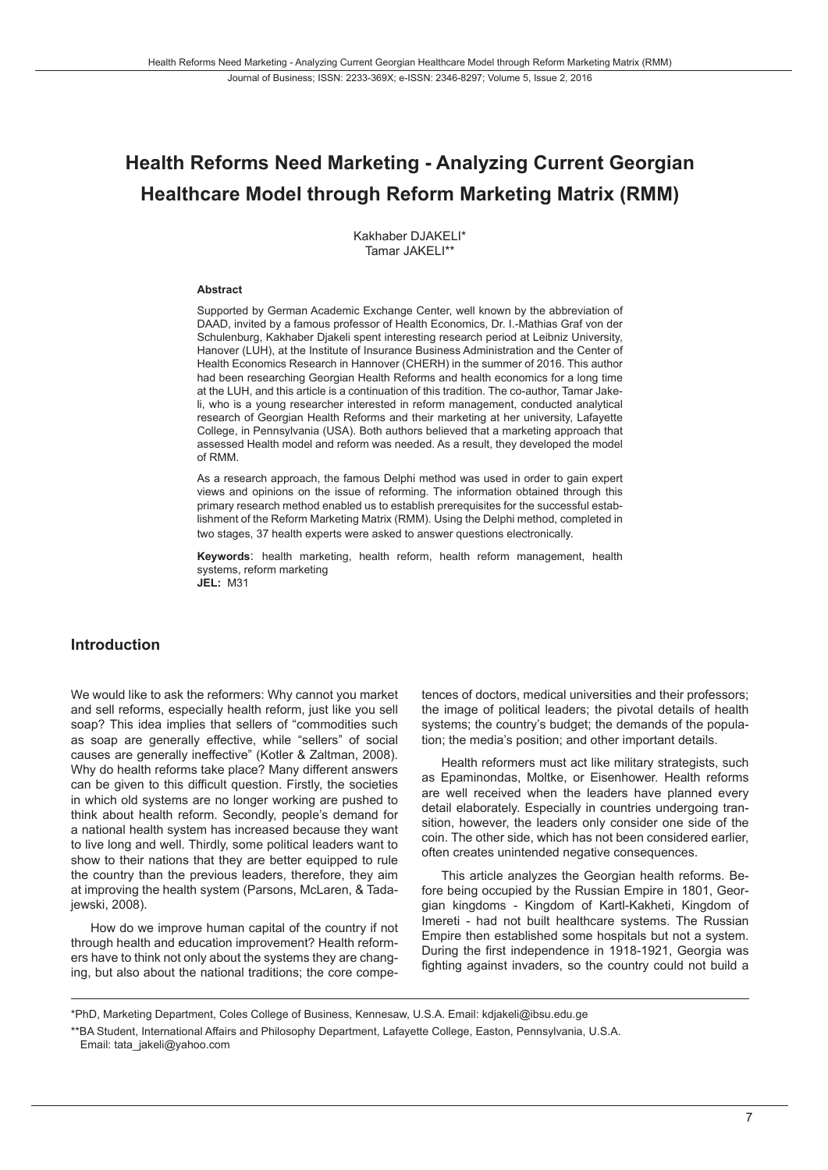# **Health Reforms Need Marketing - Analyzing Current Georgian Healthcare Model through Reform Marketing Matrix (RMM)**

Kakhaber DJAKELI\* Tamar JAKFI I\*\*

#### **Abstract**

Supported by German Academic Exchange Center, well known by the abbreviation of DAAD, invited by a famous professor of Health Economics, Dr. I.-Mathias Graf von der Schulenburg, Kakhaber Djakeli spent interesting research period at Leibniz University, Hanover (LUH), at the Institute of Insurance Business Administration and the Center of Health Economics Research in Hannover (CHERH) in the summer of 2016. This author had been researching Georgian Health Reforms and health economics for a long time at the LUH, and this article is a continuation of this tradition. The co-author, Tamar Jakeli, who is a young researcher interested in reform management, conducted analytical research of Georgian Health Reforms and their marketing at her university, Lafayette College, in Pennsylvania (USA). Both authors believed that a marketing approach that assessed Health model and reform was needed. As a result, they developed the model of RMM.

As a research approach, the famous Delphi method was used in order to gain expert views and opinions on the issue of reforming. The information obtained through this primary research method enabled us to establish prerequisites for the successful establishment of the Reform Marketing Matrix (RMM). Using the Delphi method, completed in two stages, 37 health experts were asked to answer questions electronically.

**Keywords**: health marketing, health reform, health reform management, health systems, reform marketing **JEL:** M31

### **Introduction**

We would like to ask the reformers: Why cannot you market and sell reforms, especially health reform, just like you sell soap? This idea implies that sellers of "commodities such as soap are generally effective, while "sellers" of social causes are generally ineffective" (Kotler & Zaltman, 2008). Why do health reforms take place? Many different answers can be given to this difficult question. Firstly, the societies in which old systems are no longer working are pushed to think about health reform. Secondly, people's demand for a national health system has increased because they want to live long and well. Thirdly, some political leaders want to show to their nations that they are better equipped to rule the country than the previous leaders, therefore, they aim at improving the health system (Parsons, McLaren, & Tadajewski, 2008).

How do we improve human capital of the country if not through health and education improvement? Health reformers have to think not only about the systems they are changing, but also about the national traditions; the core competences of doctors, medical universities and their professors; the image of political leaders; the pivotal details of health systems; the country's budget; the demands of the population; the media's position; and other important details.

Health reformers must act like military strategists, such as Epaminondas, Moltke, or Eisenhower. Health reforms are well received when the leaders have planned every detail elaborately. Especially in countries undergoing transition, however, the leaders only consider one side of the coin. The other side, which has not been considered earlier, often creates unintended negative consequences.

This article analyzes the Georgian health reforms. Before being occupied by the Russian Empire in 1801, Georgian kingdoms - Kingdom of Kartl-Kakheti, Kingdom of Imereti - had not built healthcare systems. The Russian Empire then established some hospitals but not a system. During the first independence in 1918-1921, Georgia was fighting against invaders, so the country could not build a

<sup>\*</sup>PhD, Marketing Department, Coles College of Business, Kennesaw, U.S.A. Email: kdjakeli@ibsu.edu.ge

<sup>\*\*</sup>BA Student, International Affairs and Philosophy Department, Lafayette College, Easton, Pennsylvania, U.S.A. Email: tata\_jakeli@yahoo.com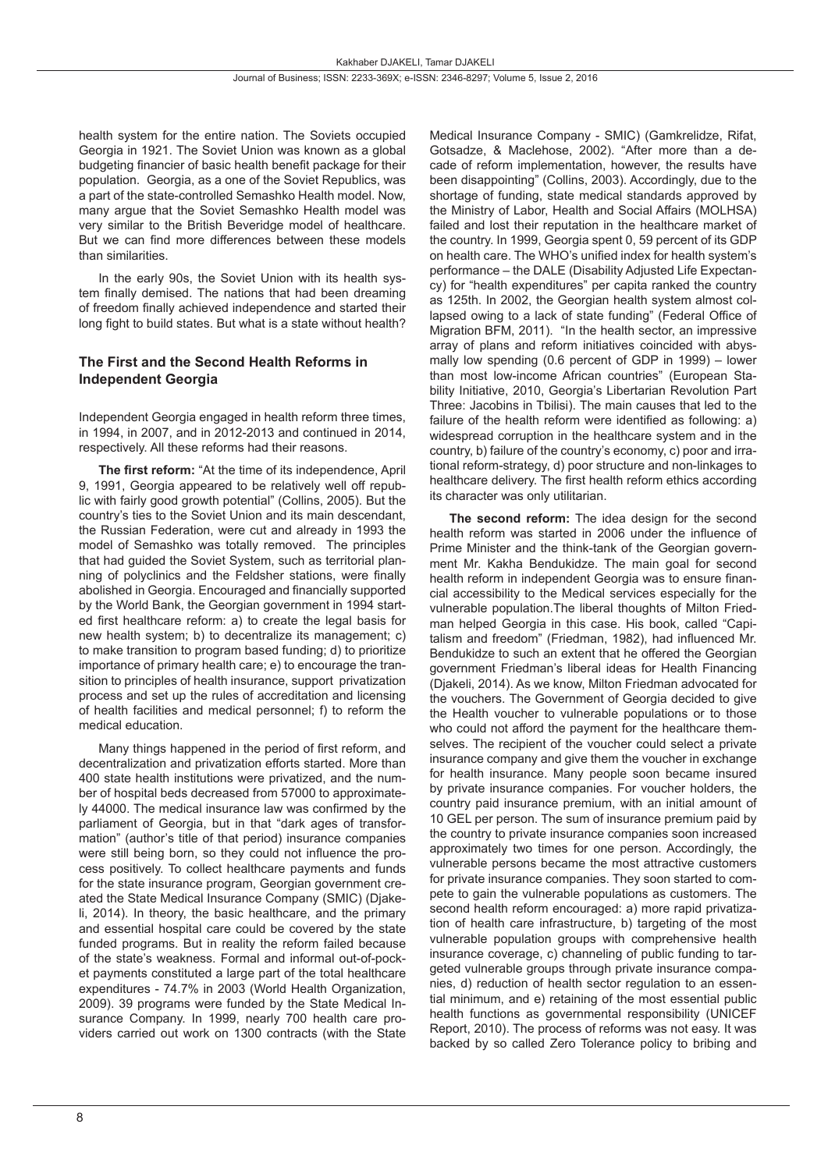health system for the entire nation. The Soviets occupied Georgia in 1921. The Soviet Union was known as a global budgeting financier of basic health benefit package for their population. Georgia, as a one of the Soviet Republics, was a part of the state-controlled Semashko Health model. Now, many argue that the Soviet Semashko Health model was very similar to the British Beveridge model of healthcare. But we can find more differences between these models than similarities.

In the early 90s, the Soviet Union with its health system finally demised. The nations that had been dreaming of freedom finally achieved independence and started their long fight to build states. But what is a state without health?

## **The First and the Second Health Reforms in Independent Georgia**

Independent Georgia engaged in health reform three times, in 1994, in 2007, and in 2012-2013 and continued in 2014, respectively. All these reforms had their reasons.

**The first reform:** "At the time of its independence, April 9, 1991, Georgia appeared to be relatively well off republic with fairly good growth potential" (Collins, 2005). But the country's ties to the Soviet Union and its main descendant, the Russian Federation, were cut and already in 1993 the model of Semashko was totally removed. The principles that had guided the Soviet System, such as territorial planning of polyclinics and the Feldsher stations, were finally abolished in Georgia. Encouraged and financially supported by the World Bank, the Georgian government in 1994 started first healthcare reform: a) to create the legal basis for new health system; b) to decentralize its management; c) to make transition to program based funding; d) to prioritize importance of primary health care; e) to encourage the transition to principles of health insurance, support privatization process and set up the rules of accreditation and licensing of health facilities and medical personnel; f) to reform the medical education.

Many things happened in the period of first reform, and decentralization and privatization efforts started. More than 400 state health institutions were privatized, and the number of hospital beds decreased from 57000 to approximately 44000. The medical insurance law was confirmed by the parliament of Georgia, but in that "dark ages of transformation" (author's title of that period) insurance companies were still being born, so they could not influence the process positively. To collect healthcare payments and funds for the state insurance program, Georgian government created the State Medical Insurance Company (SMIC) (Djakeli, 2014). In theory, the basic healthcare, and the primary and essential hospital care could be covered by the state funded programs. But in reality the reform failed because of the state's weakness. Formal and informal out-of-pocket payments constituted a large part of the total healthcare expenditures - 74.7% in 2003 (World Health Organization, 2009). 39 programs were funded by the State Medical Insurance Company. In 1999, nearly 700 health care providers carried out work on 1300 contracts (with the State

Medical Insurance Company - SMIC) (Gamkrelidze, Rifat, Gotsadze, & Maclehose, 2002). "After more than a decade of reform implementation, however, the results have been disappointing" (Collins, 2003). Accordingly, due to the shortage of funding, state medical standards approved by the Ministry of Labor, Health and Social Affairs (MOLHSA) failed and lost their reputation in the healthcare market of the country. In 1999, Georgia spent 0, 59 percent of its GDP on health care. The WHO's unified index for health system's performance – the DALE (Disability Adjusted Life Expectancy) for "health expenditures" per capita ranked the country as 125th. In 2002, the Georgian health system almost collapsed owing to a lack of state funding" (Federal Office of Migration BFM, 2011). "In the health sector, an impressive array of plans and reform initiatives coincided with abysmally low spending (0.6 percent of GDP in 1999) – lower than most low-income African countries" (European Stability Initiative, 2010, Georgia's Libertarian Revolution Part Three: Jacobins in Tbilisi). The main causes that led to the failure of the health reform were identified as following: a) widespread corruption in the healthcare system and in the country, b) failure of the country's economy, c) poor and irrational reform-strategy, d) poor structure and non-linkages to healthcare delivery. The first health reform ethics according its character was only utilitarian.

**The second reform:** The idea design for the second health reform was started in 2006 under the influence of Prime Minister and the think-tank of the Georgian government Mr. Kakha Bendukidze. The main goal for second health reform in independent Georgia was to ensure financial accessibility to the Medical services especially for the vulnerable population.The liberal thoughts of Milton Friedman helped Georgia in this case. His book, called "Capitalism and freedom" (Friedman, 1982), had influenced Mr. Bendukidze to such an extent that he offered the Georgian government Friedman's liberal ideas for Health Financing (Djakeli, 2014). As we know, Milton Friedman advocated for the vouchers. The Government of Georgia decided to give the Health voucher to vulnerable populations or to those who could not afford the payment for the healthcare themselves. The recipient of the voucher could select a private insurance company and give them the voucher in exchange for health insurance. Many people soon became insured by private insurance companies. For voucher holders, the country paid insurance premium, with an initial amount of 10 GEL per person. The sum of insurance premium paid by the country to private insurance companies soon increased approximately two times for one person. Accordingly, the vulnerable persons became the most attractive customers for private insurance companies. They soon started to compete to gain the vulnerable populations as customers. The second health reform encouraged: a) more rapid privatization of health care infrastructure, b) targeting of the most vulnerable population groups with comprehensive health insurance coverage, c) channeling of public funding to targeted vulnerable groups through private insurance companies, d) reduction of health sector regulation to an essential minimum, and e) retaining of the most essential public health functions as governmental responsibility (UNICEF Report, 2010). The process of reforms was not easy. It was backed by so called Zero Tolerance policy to bribing and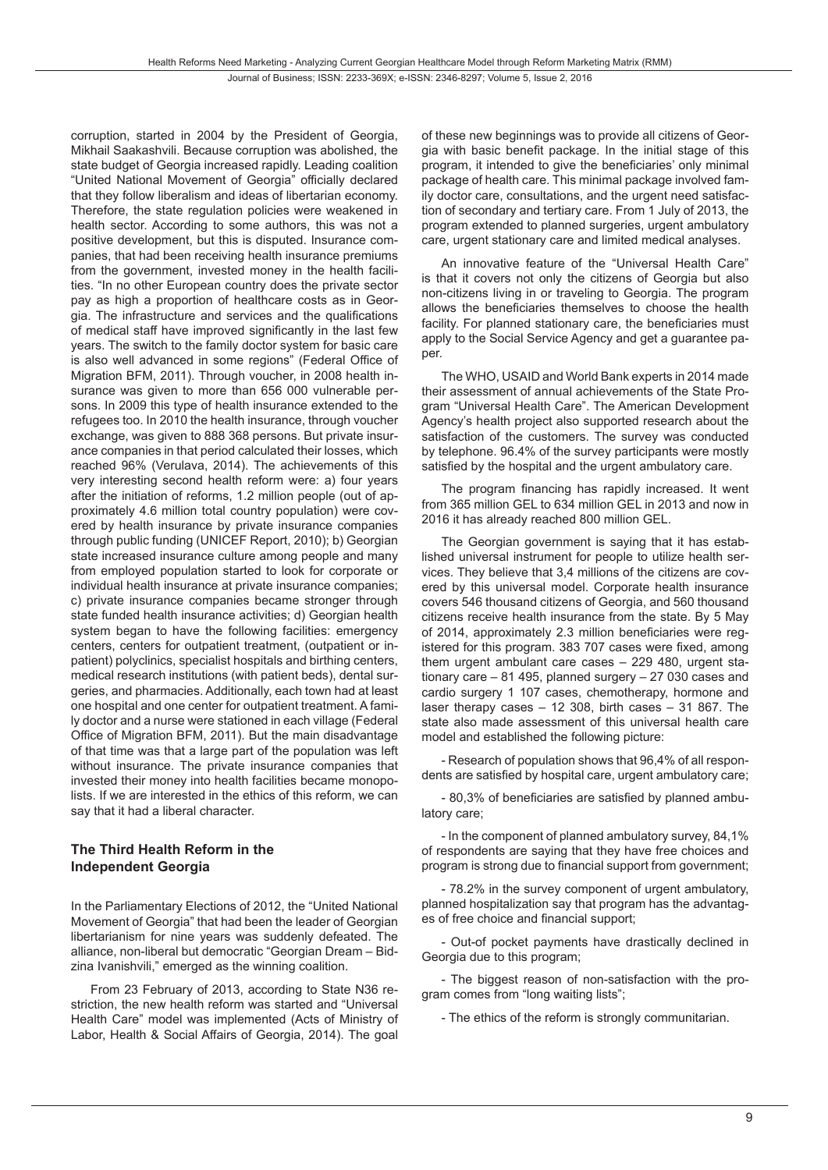corruption, started in 2004 by the President of Georgia, Mikhail Saakashvili. Because corruption was abolished, the state budget of Georgia increased rapidly. Leading coalition "United National Movement of Georgia" officially declared that they follow liberalism and ideas of libertarian economy. Therefore, the state regulation policies were weakened in health sector. According to some authors, this was not a positive development, but this is disputed. Insurance companies, that had been receiving health insurance premiums from the government, invested money in the health facilities. "In no other European country does the private sector pay as high a proportion of healthcare costs as in Georgia. The infrastructure and services and the qualifications of medical staff have improved significantly in the last few years. The switch to the family doctor system for basic care is also well advanced in some regions" (Federal Office of Migration BFM, 2011). Through voucher, in 2008 health insurance was given to more than 656 000 vulnerable persons. In 2009 this type of health insurance extended to the refugees too. In 2010 the health insurance, through voucher exchange, was given to 888 368 persons. But private insurance companies in that period calculated their losses, which reached 96% (Verulava, 2014). The achievements of this very interesting second health reform were: a) four years after the initiation of reforms, 1.2 million people (out of approximately 4.6 million total country population) were covered by health insurance by private insurance companies through public funding (UNICEF Report, 2010); b) Georgian state increased insurance culture among people and many from employed population started to look for corporate or individual health insurance at private insurance companies; c) private insurance companies became stronger through state funded health insurance activities; d) Georgian health system began to have the following facilities: emergency centers, centers for outpatient treatment, (outpatient or inpatient) polyclinics, specialist hospitals and birthing centers, medical research institutions (with patient beds), dental surgeries, and pharmacies. Additionally, each town had at least one hospital and one center for outpatient treatment. A family doctor and a nurse were stationed in each village (Federal Office of Migration BFM, 2011). But the main disadvantage of that time was that a large part of the population was left without insurance. The private insurance companies that invested their money into health facilities became monopolists. If we are interested in the ethics of this reform, we can say that it had a liberal character.

# **The Third Health Reform in the Independent Georgia**

In the Parliamentary Elections of 2012, the "United National Movement of Georgia" that had been the leader of Georgian libertarianism for nine years was suddenly defeated. The alliance, non-liberal but democratic "Georgian Dream – Bidzina Ivanishvili," emerged as the winning coalition.

From 23 February of 2013, according to State N36 restriction, the new health reform was started and "Universal Health Care" model was implemented (Acts of Ministry of Labor, Health & Social Affairs of Georgia, 2014). The goal of these new beginnings was to provide all citizens of Georgia with basic benefit package. In the initial stage of this program, it intended to give the beneficiaries' only minimal package of health care. This minimal package involved family doctor care, consultations, and the urgent need satisfaction of secondary and tertiary care. From 1 July of 2013, the program extended to planned surgeries, urgent ambulatory care, urgent stationary care and limited medical analyses.

An innovative feature of the "Universal Health Care" is that it covers not only the citizens of Georgia but also non-citizens living in or traveling to Georgia. The program allows the beneficiaries themselves to choose the health facility. For planned stationary care, the beneficiaries must apply to the Social Service Agency and get a guarantee paper.

The WHO, USAID and World Bank experts in 2014 made their assessment of annual achievements of the State Program "Universal Health Care". The American Development Agency's health project also supported research about the satisfaction of the customers. The survey was conducted by telephone. 96.4% of the survey participants were mostly satisfied by the hospital and the urgent ambulatory care.

The program financing has rapidly increased. It went from 365 million GEL to 634 million GEL in 2013 and now in 2016 it has already reached 800 million GEL.

The Georgian government is saying that it has established universal instrument for people to utilize health services. They believe that 3,4 millions of the citizens are covered by this universal model. Corporate health insurance covers 546 thousand citizens of Georgia, and 560 thousand citizens receive health insurance from the state. By 5 May of 2014, approximately 2.3 million beneficiaries were registered for this program. 383 707 cases were fixed, among them urgent ambulant care cases – 229 480, urgent stationary care – 81 495, planned surgery – 27 030 cases and cardio surgery 1 107 cases, chemotherapy, hormone and laser therapy cases – 12 308, birth cases – 31 867. The state also made assessment of this universal health care model and established the following picture:

- Research of population shows that 96,4% of all respondents are satisfied by hospital care, urgent ambulatory care;

- 80,3% of beneficiaries are satisfied by planned ambulatory care;

- In the component of planned ambulatory survey, 84,1% of respondents are saying that they have free choices and program is strong due to financial support from government;

- 78.2% in the survey component of urgent ambulatory, planned hospitalization say that program has the advantages of free choice and financial support;

- Out-of pocket payments have drastically declined in Georgia due to this program;

- The biggest reason of non-satisfaction with the program comes from "long waiting lists";

- The ethics of the reform is strongly communitarian.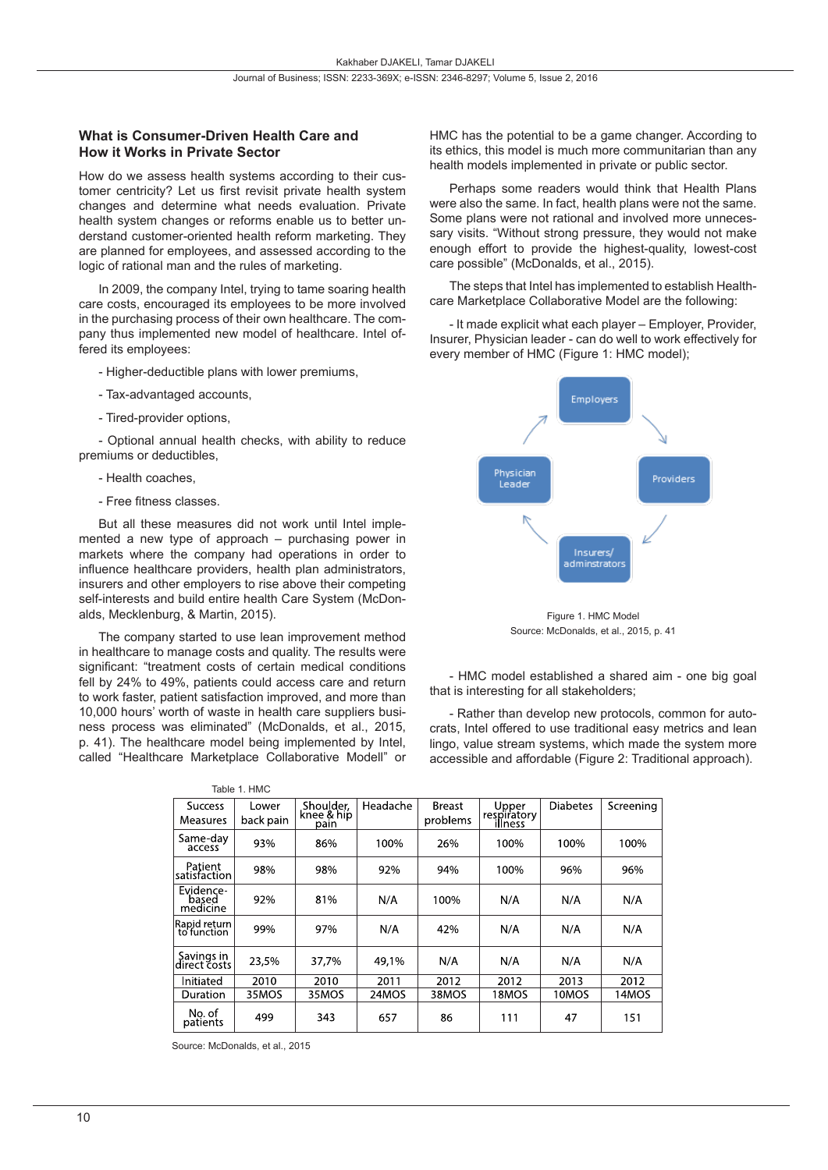### **What is Consumer-Driven Health Care and How it Works in Private Sector**

How do we assess health systems according to their customer centricity? Let us first revisit private health system changes and determine what needs evaluation. Private health system changes or reforms enable us to better understand customer-oriented health reform marketing. They are planned for employees, and assessed according to the logic of rational man and the rules of marketing.

In 2009, the company Intel, trying to tame soaring health care costs, encouraged its employees to be more involved in the purchasing process of their own healthcare. The company thus implemented new model of healthcare. Intel offered its employees:

- Higher-deductible plans with lower premiums,
- Tax-advantaged accounts,
- Tired-provider options,

- Optional annual health checks, with ability to reduce premiums or deductibles,

- Health coaches,
- Free fitness classes.

But all these measures did not work until Intel implemented a new type of approach – purchasing power in markets where the company had operations in order to influence healthcare providers, health plan administrators, insurers and other employers to rise above their competing self-interests and build entire health Care System (McDonalds, Mecklenburg, & Martin, 2015).

The company started to use lean improvement method in healthcare to manage costs and quality. The results were significant: "treatment costs of certain medical conditions fell by 24% to 49%, patients could access care and return to work faster, patient satisfaction improved, and more than 10,000 hours' worth of waste in health care suppliers business process was eliminated" (McDonalds, et al., 2015, p. 41). The healthcare model being implemented by Intel, called "Healthcare Marketplace Collaborative Modell" or

HMC has the potential to be a game changer. According to its ethics, this model is much more communitarian than any health models implemented in private or public sector.

Perhaps some readers would think that Health Plans were also the same. In fact, health plans were not the same. Some plans were not rational and involved more unnecessary visits. "Without strong pressure, they would not make enough effort to provide the highest-quality, lowest-cost care possible" (McDonalds, et al., 2015).

The steps that Intel has implemented to establish Healthcare Marketplace Collaborative Model are the following:

- It made explicit what each player – Employer, Provider, Insurer, Physician leader - can do well to work effectively for every member of HMC (Figure 1: HMC model);



Figure 1. HMC Model Source: McDonalds, et al., 2015, p. 41

- HMC model established a shared aim - one big goal that is interesting for all stakeholders;

- Rather than develop new protocols, common for autocrats, Intel offered to use traditional easy metrics and lean lingo, value stream systems, which made the system more accessible and affordable (Figure 2: Traditional approach).

|                                | Table 1. HMC       |                                 |          |                           |                                 |                 |           |
|--------------------------------|--------------------|---------------------------------|----------|---------------------------|---------------------------------|-----------------|-----------|
| <b>Success</b><br>Measures     | Lower<br>back pain | Shoulder,<br>knee & hip<br>pain | Headache | <b>Breast</b><br>problems | Upper<br>respiratory<br>illness | <b>Diabetes</b> | Screening |
| Same-day<br>access             | 93%                | 86%                             | 100%     | 26%                       | 100%                            | 100%            | 100%      |
| Patient<br>satisfaction        | 98%                | 98%                             | 92%      | 94%                       | 100%                            | 96%             | 96%       |
| Evidence-<br>based<br>medicine | 92%                | 81%                             | N/A      | 100%                      | N/A                             | N/A             | N/A       |
| Rapid return<br>to function    | 99%                | 97%                             | N/A      | 42%                       | N/A                             | N/A             | N/A       |
| Savings in<br>direct costs     | 23,5%              | 37,7%                           | 49,1%    | N/A                       | N/A                             | N/A             | N/A       |
| Initiated                      | 2010               | 2010                            | 2011     | 2012                      | 2012                            | 2013            | 2012      |
| Duration                       | 35MOS              | 35MOS                           | 24MOS    | 38MOS                     | 18MOS                           | 10MOS           | 14MOS     |
| No. of<br>patients             | 499                | 343                             | 657      | 86                        | 111                             | 47              | 151       |

Source: McDonalds, et al., 2015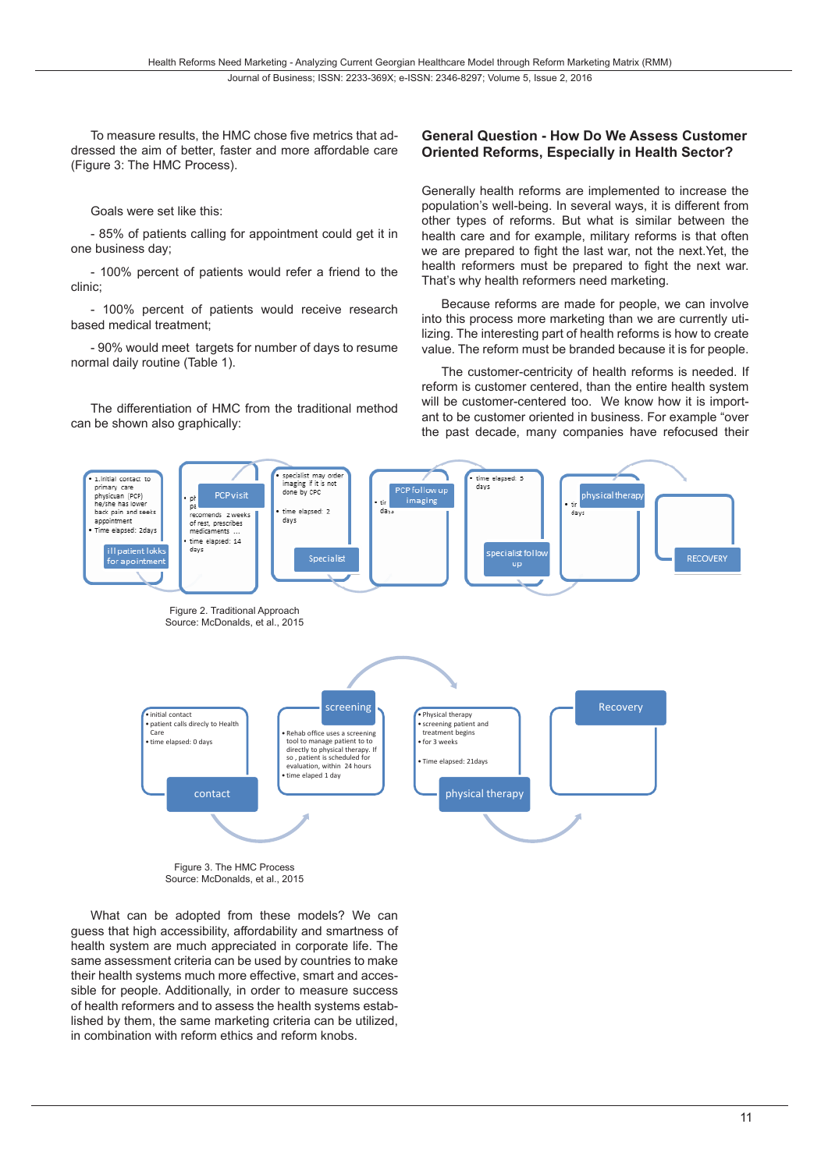To measure results, the HMC chose five metrics that addressed the aim of better, faster and more affordable care (Figure 3: The HMC Process).

Goals were set like this:

- 85% of patients calling for appointment could get it in one business day;

- 100% percent of patients would refer a friend to the clinic;

- 100% percent of patients would receive research based medical treatment;

- 90% would meet targets for number of days to resume normal daily routine (Table 1).

The differentiation of HMC from the traditional method can be shown also graphically:

# **General Question - How Do We Assess Customer Oriented Reforms, Especially in Health Sector?**

Generally health reforms are implemented to increase the population's well-being. In several ways, it is different from other types of reforms. But what is similar between the health care and for example, military reforms is that often we are prepared to fight the last war, not the next.Yet, the health reformers must be prepared to fight the next war. That's why health reformers need marketing.

Because reforms are made for people, we can involve into this process more marketing than we are currently utilizing. The interesting part of health reforms is how to create value. The reform must be branded because it is for people.

The customer-centricity of health reforms is needed. If reform is customer centered, than the entire health system will be customer-centered too. We know how it is important to be customer oriented in business. For example "over the past decade, many companies have refocused their



Source: McDonalds, et al., 2015

What can be adopted from these models? We can guess that high accessibility, affordability and smartness of health system are much appreciated in corporate life. The same assessment criteria can be used by countries to make their health systems much more effective, smart and accessible for people. Additionally, in order to measure success of health reformers and to assess the health systems established by them, the same marketing criteria can be utilized, in combination with reform ethics and reform knobs.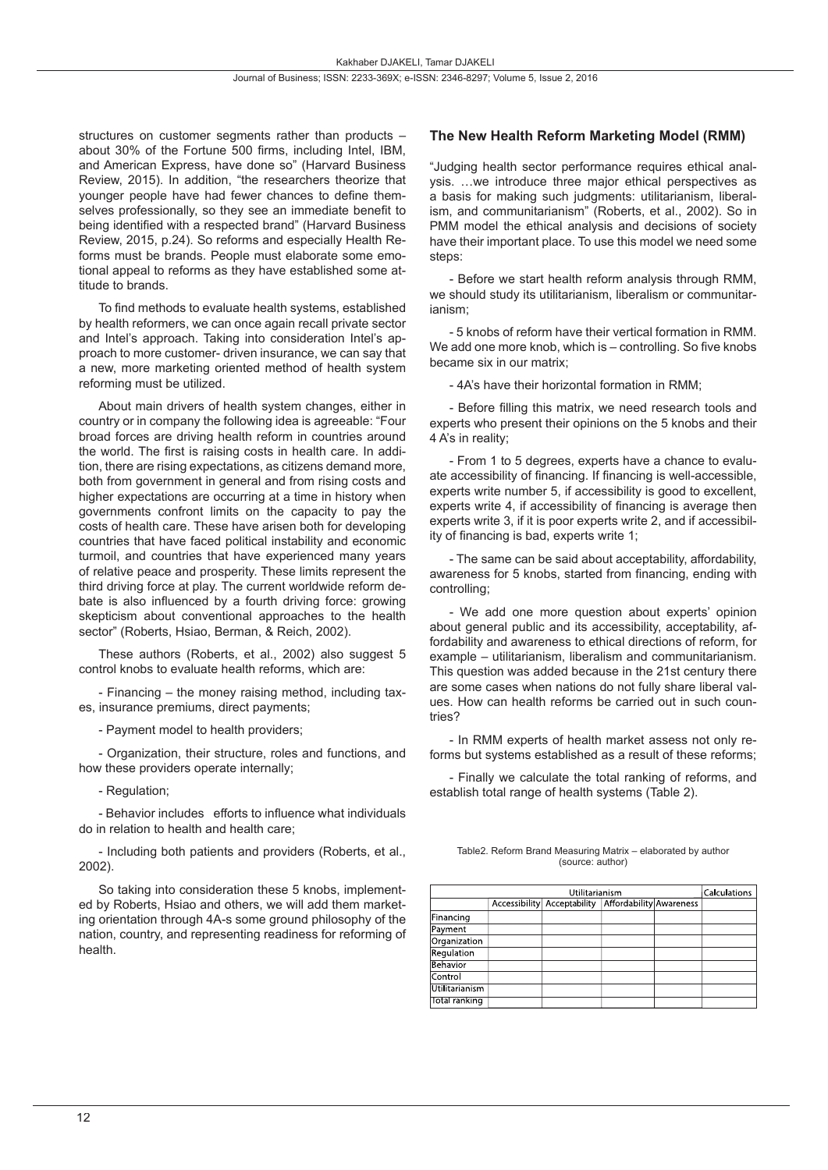structures on customer segments rather than products – about 30% of the Fortune 500 firms, including Intel, IBM, and American Express, have done so" (Harvard Business Review, 2015). In addition, "the researchers theorize that younger people have had fewer chances to define themselves professionally, so they see an immediate benefit to being identified with a respected brand" (Harvard Business Review, 2015, p.24). So reforms and especially Health Reforms must be brands. People must elaborate some emotional appeal to reforms as they have established some attitude to brands.

To find methods to evaluate health systems, established by health reformers, we can once again recall private sector and Intel's approach. Taking into consideration Intel's approach to more customer- driven insurance, we can say that a new, more marketing oriented method of health system reforming must be utilized.

About main drivers of health system changes, either in country or in company the following idea is agreeable: "Four broad forces are driving health reform in countries around the world. The first is raising costs in health care. In addition, there are rising expectations, as citizens demand more, both from government in general and from rising costs and higher expectations are occurring at a time in history when governments confront limits on the capacity to pay the costs of health care. These have arisen both for developing countries that have faced political instability and economic turmoil, and countries that have experienced many years of relative peace and prosperity. These limits represent the third driving force at play. The current worldwide reform debate is also influenced by a fourth driving force: growing skepticism about conventional approaches to the health sector" (Roberts, Hsiao, Berman, & Reich, 2002).

These authors (Roberts, et al., 2002) also suggest 5 control knobs to evaluate health reforms, which are:

- Financing – the money raising method, including taxes, insurance premiums, direct payments;

- Payment model to health providers;

- Organization, their structure, roles and functions, and how these providers operate internally;

- Regulation;

- Behavior includes efforts to influence what individuals do in relation to health and health care;

- Including both patients and providers (Roberts, et al., 2002).

So taking into consideration these 5 knobs, implemented by Roberts, Hsiao and others, we will add them marketing orientation through 4A-s some ground philosophy of the nation, country, and representing readiness for reforming of health.

# **The New Health Reform Marketing Model (RMM)**

"Judging health sector performance requires ethical analysis. …we introduce three major ethical perspectives as a basis for making such judgments: utilitarianism, liberalism, and communitarianism" (Roberts, et al., 2002). So in PMM model the ethical analysis and decisions of society have their important place. To use this model we need some steps:

- Before we start health reform analysis through RMM, we should study its utilitarianism, liberalism or communitarianism;

- 5 knobs of reform have their vertical formation in RMM. We add one more knob, which is – controlling. So five knobs became six in our matrix;

- 4A's have their horizontal formation in RMM;

- Before filling this matrix, we need research tools and experts who present their opinions on the 5 knobs and their 4 A's in reality;

- From 1 to 5 degrees, experts have a chance to evaluate accessibility of financing. If financing is well-accessible, experts write number 5, if accessibility is good to excellent, experts write 4, if accessibility of financing is average then experts write 3, if it is poor experts write 2, and if accessibility of financing is bad, experts write 1;

- The same can be said about acceptability, affordability, awareness for 5 knobs, started from financing, ending with controlling;

- We add one more question about experts' opinion about general public and its accessibility, acceptability, affordability and awareness to ethical directions of reform, for example – utilitarianism, liberalism and communitarianism. This question was added because in the 21st century there are some cases when nations do not fully share liberal values. How can health reforms be carried out in such countries?

- In RMM experts of health market assess not only reforms but systems established as a result of these reforms;

- Finally we calculate the total ranking of reforms, and establish total range of health systems (Table 2).

|  | Table2. Reform Brand Measuring Matrix - elaborated by author |  |
|--|--------------------------------------------------------------|--|
|  | (source: author)                                             |  |

|                | <b>Calculations</b>                                 |  |  |
|----------------|-----------------------------------------------------|--|--|
|                | Accessibility Acceptability Affordability Awareness |  |  |
| Financing      |                                                     |  |  |
| Payment        |                                                     |  |  |
| Organization   |                                                     |  |  |
| Requlation     |                                                     |  |  |
| Behavior       |                                                     |  |  |
| Control        |                                                     |  |  |
| Utilitarianism |                                                     |  |  |
| Total ranking  |                                                     |  |  |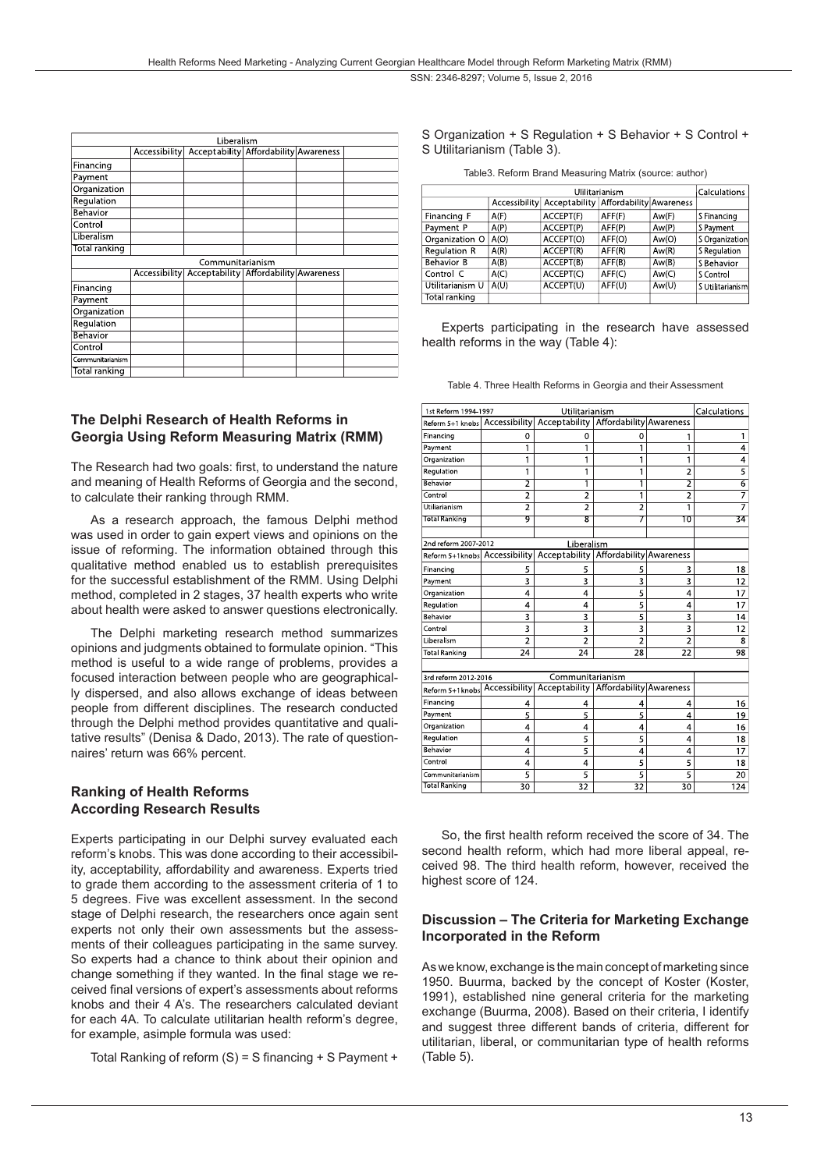| Liberalism       |               |                                                     |  |  |  |  |
|------------------|---------------|-----------------------------------------------------|--|--|--|--|
|                  |               | Accessibility Acceptability Affordability Awareness |  |  |  |  |
| Financing        |               |                                                     |  |  |  |  |
| Payment          |               |                                                     |  |  |  |  |
| Organization     |               |                                                     |  |  |  |  |
| Regulation       |               |                                                     |  |  |  |  |
| Behavior         |               |                                                     |  |  |  |  |
| Control          |               |                                                     |  |  |  |  |
| Liberalism       |               |                                                     |  |  |  |  |
| Total ranking    |               |                                                     |  |  |  |  |
| Communitarianism |               |                                                     |  |  |  |  |
|                  | Accessibility | Acceptability   Affordability   Awareness           |  |  |  |  |
| Financing        |               |                                                     |  |  |  |  |
| Payment          |               |                                                     |  |  |  |  |
| Organization     |               |                                                     |  |  |  |  |
| Regulation       |               |                                                     |  |  |  |  |
| Behavior         |               |                                                     |  |  |  |  |
| Control          |               |                                                     |  |  |  |  |
| Communitarianism |               |                                                     |  |  |  |  |
| Total ranking    |               |                                                     |  |  |  |  |

# **The Delphi Research of Health Reforms in Georgia Using Reform Measuring Matrix (RMM)**

The Research had two goals: first, to understand the nature and meaning of Health Reforms of Georgia and the second, to calculate their ranking through RMM.

As a research approach, the famous Delphi method was used in order to gain expert views and opinions on the issue of reforming. The information obtained through this qualitative method enabled us to establish prerequisites for the successful establishment of the RMM. Using Delphi method, completed in 2 stages, 37 health experts who write about health were asked to answer questions electronically.

The Delphi marketing research method summarizes opinions and judgments obtained to formulate opinion. "This method is useful to a wide range of problems, provides a focused interaction between people who are geographically dispersed, and also allows exchange of ideas between people from different disciplines. The research conducted through the Delphi method provides quantitative and qualitative results" (Denisa & Dado, 2013). The rate of questionnaires' return was 66% percent.

# **Ranking of Health Reforms According Research Results**

Experts participating in our Delphi survey evaluated each reform's knobs. This was done according to their accessibility, acceptability, affordability and awareness. Experts tried to grade them according to the assessment criteria of 1 to 5 degrees. Five was excellent assessment. In the second stage of Delphi research, the researchers once again sent experts not only their own assessments but the assessments of their colleagues participating in the same survey. So experts had a chance to think about their opinion and change something if they wanted. In the final stage we received final versions of expert's assessments about reforms knobs and their 4 A's. The researchers calculated deviant for each 4A. To calculate utilitarian health reform's degree, for example, asimple formula was used:

Total Ranking of reform (S) = S financing + S Payment +

S Organization + S Regulation + S Behavior + S Control + S Utilitarianism (Table 3).

Table3. Reform Brand Measuring Matrix (source: author)

|                   | Calculations |                                                     |        |       |                  |
|-------------------|--------------|-----------------------------------------------------|--------|-------|------------------|
|                   |              | Accessibility Acceptability Affordability Awareness |        |       |                  |
| Financing F       | A(F)         | ACCEPT(F)                                           | AFF(F) | Aw(F) | S Financing      |
| Payment P         | A(P)         | ACCEPT(P)                                           | AFF(P) | Aw(P) | S Payment        |
| Organization O    | A(O)         | ACCEPT(O)                                           | AFF(O) | Aw(O) | S Organization   |
| Regulation R      | A(R)         | ACCEPT(R)                                           | AFF(R) | Aw(R) | S Regulation     |
| <b>Behavior B</b> | A(B)         | ACCEPT(B)                                           | AFF(B) | Aw(B) | S Behavior       |
| Control C         | A(C)         | ACCEPT(C)                                           | AFF(C) | Aw(C) | S Control        |
| Utilitarianism U  | A(U)         | ACCEPT(U)                                           | AFF(U) | Aw(U) | S Utilitarianism |
| Total ranking     |              |                                                     |        |       |                  |

Experts participating in the research have assessed health reforms in the way (Table 4):

Table 4. Three Health Reforms in Georgia and their Assessment

| Utilitarianism<br>1st Reform 1994-1997                                               |                |                                           |                         |                 | Calculations   |
|--------------------------------------------------------------------------------------|----------------|-------------------------------------------|-------------------------|-----------------|----------------|
| Reform 5+1 knobs Accessibility                                                       |                | Acceptability   Affordability   Awareness |                         |                 |                |
| Financing                                                                            | 0              | 0                                         | 0                       | 1               | 1              |
| Payment                                                                              | 1              | 1                                         | 1                       | 1               | 4              |
| Organization                                                                         | 1              | 1                                         | 1                       | 1               | 4              |
| Regulation                                                                           | 1              | 1                                         | 1                       | $\overline{2}$  | $\overline{5}$ |
| Behavior                                                                             | $\overline{2}$ | 1                                         | 1                       | $\overline{2}$  | $\overline{6}$ |
| Control                                                                              | $\overline{2}$ | $\overline{2}$                            | 1                       | $\overline{2}$  | 7              |
| <b>Utiliarianism</b>                                                                 | $\overline{2}$ | 2                                         | 2                       | 1               |                |
| <b>Total Ranking</b>                                                                 | 9              | $\overline{\mathbf{g}}$                   | 7                       | 10              | 34             |
|                                                                                      |                |                                           |                         |                 |                |
| 2nd reform 2007-2012                                                                 |                | Liberalism                                |                         |                 |                |
| Reform 5+1knobs Accessibility                                                        |                | Acceptability                             | Affordability Awareness |                 |                |
| Financing                                                                            | 5              | 5                                         | 5                       | 3               | 18             |
| Payment                                                                              | 3              | 3                                         | 3                       | 3               | 12             |
| Organization                                                                         | 4              | 4                                         | 5                       | 4               | 17             |
| Regulation                                                                           | 4              | 4                                         | 5                       | 4               | 17             |
| Behavior                                                                             | 3              | 3                                         | $\overline{5}$          | 3               | 14             |
| Control                                                                              | 3              | 3                                         | $\overline{3}$          | 3               | 12             |
| Liberalism                                                                           | $\overline{2}$ | $\overline{2}$                            | $\overline{2}$          | $\overline{2}$  | 8              |
| <b>Total Ranking</b>                                                                 | 24             | 24                                        | $\overline{28}$         | $\overline{22}$ | 98             |
|                                                                                      |                |                                           |                         |                 |                |
| Communitarianism<br>3rd reform 2012-2016<br>Acceptability   Affordability  Awareness |                |                                           |                         |                 |                |
| Reform 5+1knobs Accessibility                                                        |                |                                           |                         |                 |                |
| Financing                                                                            | 4              | 4                                         | 4                       | 4               | 16             |
| Payment                                                                              | 5              | 5                                         | 5                       | 4               | 19             |
| Organization                                                                         | 4              | 4                                         | 4                       | 4               | 16             |
| Regulation                                                                           | 4              | 5                                         | 5                       | 4               | 18             |
| <b>Behavior</b>                                                                      | 4              | 5                                         | 4                       | 4               | 17             |
| Control                                                                              | 4              | 4                                         | 5                       | 5               | 18             |
| Communitarianism                                                                     | 5              | 5                                         | 5                       | 5               | 20             |
| <b>Total Ranking</b>                                                                 | 30             | $\overline{32}$                           | $\overline{32}$         | 30              | 124            |

So, the first health reform received the score of 34. The second health reform, which had more liberal appeal, received 98. The third health reform, however, received the highest score of 124.

### **Discussion – The Criteria for Marketing Exchange Incorporated in the Reform**

As we know, exchange is the main concept of marketing since 1950. Buurma, backed by the concept of Koster (Koster, 1991), established nine general criteria for the marketing exchange (Buurma, 2008). Based on their criteria, I identify and suggest three different bands of criteria, different for utilitarian, liberal, or communitarian type of health reforms (Table 5).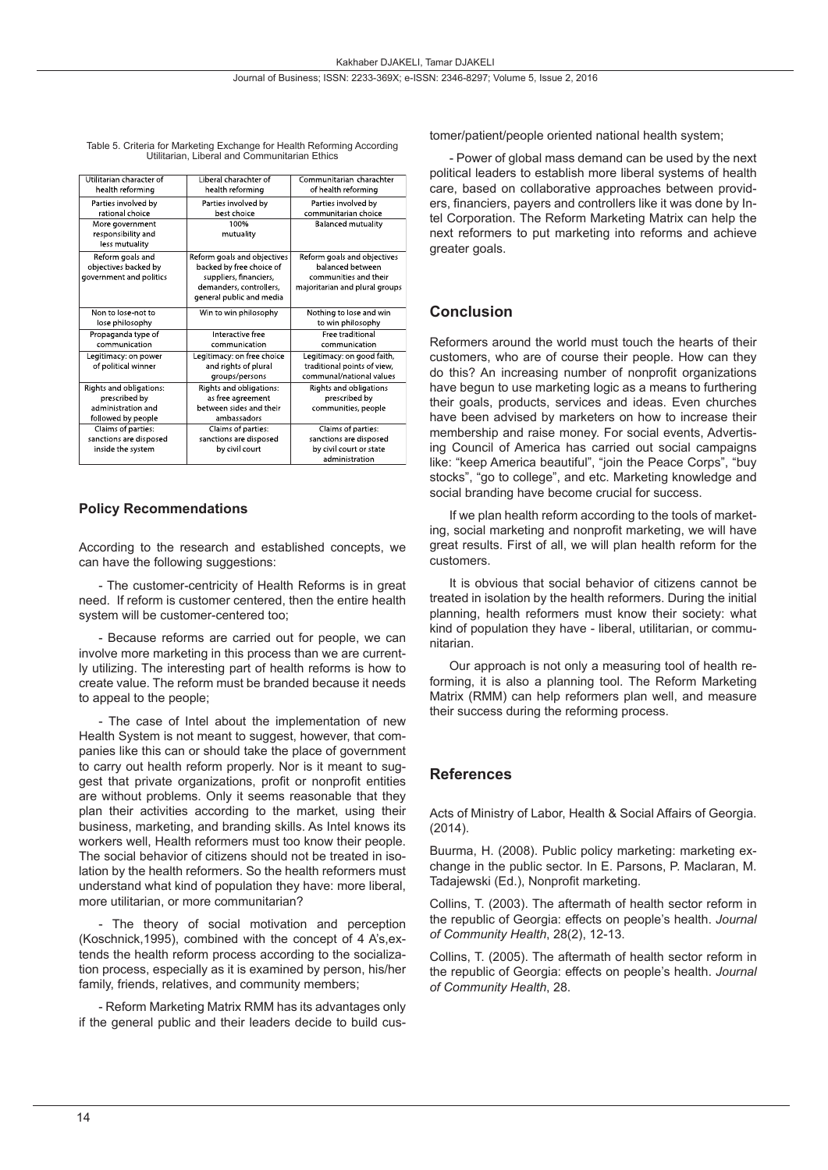| Utilitarian character of<br>health reforming                                         | Liberal charachter of<br>health reforming                                                                                                | Communitarian charachter<br>of health reforming                                                            |
|--------------------------------------------------------------------------------------|------------------------------------------------------------------------------------------------------------------------------------------|------------------------------------------------------------------------------------------------------------|
| Parties involved by<br>rational choice                                               | Parties involved by<br>best choice                                                                                                       | Parties involved by<br>communitarian choice                                                                |
| More government<br>responsibility and<br>less mutuality                              | 100%<br>mutuality                                                                                                                        | <b>Balanced mutuality</b>                                                                                  |
| Reform goals and<br>objectives backed by<br>government and politics                  | Reform goals and objectives<br>backed by free choice of<br>suppliers, financiers,<br>demanders, controllers,<br>general public and media | Reform goals and objectives<br>balanced between<br>communities and their<br>majoritarian and plural groups |
| Non to lose not to<br>lose philosophy                                                | Win to win philosophy                                                                                                                    | Nothing to lose and win<br>to win philosophy                                                               |
| Propaganda type of<br>communication                                                  | Interactive free<br>communication                                                                                                        | Free traditional<br>communication                                                                          |
| Legitimacy: on power<br>of political winner                                          | Legitimacy: on free choice<br>and rights of plural<br>groups/persons                                                                     | Legitimacy: on good faith,<br>traditional points of view,<br>communal/national values                      |
| Rights and obligations:<br>prescribed by<br>administration and<br>followed by people | Rights and obligations:<br>as free agreement<br>between sides and their<br>ambassadors                                                   | Rights and obligations<br>prescribed by<br>communities, people                                             |
| Claims of parties:<br>sanctions are disposed<br>inside the system                    | Claims of parties:<br>sanctions are disposed<br>by civil court                                                                           | Claims of parties:<br>sanctions are disposed<br>by civil court or state<br>administration                  |

Table 5. Criteria for Marketing Exchange for Health Reforming According Utilitarian, Liberal and Communitarian Ethics

#### **Policy Recommendations**

According to the research and established concepts, we can have the following suggestions:

- The customer-centricity of Health Reforms is in great need. If reform is customer centered, then the entire health system will be customer-centered too;

- Because reforms are carried out for people, we can involve more marketing in this process than we are currently utilizing. The interesting part of health reforms is how to create value. The reform must be branded because it needs to appeal to the people;

- The case of Intel about the implementation of new Health System is not meant to suggest, however, that companies like this can or should take the place of government to carry out health reform properly. Nor is it meant to suggest that private organizations, profit or nonprofit entities are without problems. Only it seems reasonable that they plan their activities according to the market, using their business, marketing, and branding skills. As Intel knows its workers well, Health reformers must too know their people. The social behavior of citizens should not be treated in isolation by the health reformers. So the health reformers must understand what kind of population they have: more liberal, more utilitarian, or more communitarian?

- The theory of social motivation and perception (Koschnick,1995), combined with the concept of 4 A's,extends the health reform process according to the socialization process, especially as it is examined by person, his/her family, friends, relatives, and community members;

- Reform Marketing Matrix RMM has its advantages only if the general public and their leaders decide to build customer/patient/people oriented national health system;

- Power of global mass demand can be used by the next political leaders to establish more liberal systems of health care, based on collaborative approaches between providers, financiers, payers and controllers like it was done by Intel Corporation. The Reform Marketing Matrix can help the next reformers to put marketing into reforms and achieve greater goals.

#### **Conclusion**

Reformers around the world must touch the hearts of their customers, who are of course their people. How can they do this? An increasing number of nonprofit organizations have begun to use marketing logic as a means to furthering their goals, products, services and ideas. Even churches have been advised by marketers on how to increase their membership and raise money. For social events, Advertising Council of America has carried out social campaigns like: "keep America beautiful", "join the Peace Corps", "buy stocks", "go to college", and etc. Marketing knowledge and social branding have become crucial for success.

If we plan health reform according to the tools of marketing, social marketing and nonprofit marketing, we will have great results. First of all, we will plan health reform for the customers.

It is obvious that social behavior of citizens cannot be treated in isolation by the health reformers. During the initial planning, health reformers must know their society: what kind of population they have - liberal, utilitarian, or communitarian.

Our approach is not only a measuring tool of health reforming, it is also a planning tool. The Reform Marketing Matrix (RMM) can help reformers plan well, and measure their success during the reforming process.

#### **References**

Acts of Ministry of Labor, Health & Social Affairs of Georgia. (2014).

Buurma, H. (2008). Public policy marketing: marketing exchange in the public sector. In E. Parsons, P. Maclaran, M. Tadajewski (Ed.), Nonprofit marketing.

Collins, T. (2003). The aftermath of health sector reform in the republic of Georgia: effects on people's health. *Journal of Community Health*, 28(2), 12-13.

Collins, T. (2005). The aftermath of health sector reform in the republic of Georgia: effects on people's health. *Journal of Community Health*, 28.